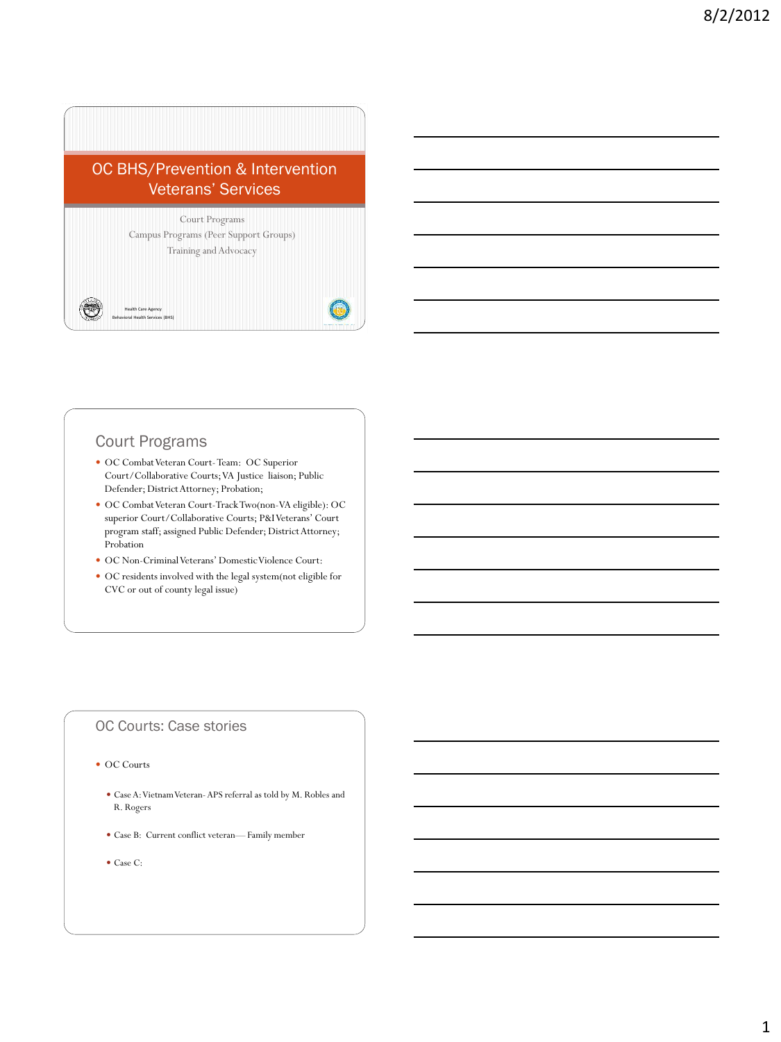# OC BHS/Prevention & Intervention Veterans' Services



## Court Programs

- OC Combat Veteran Court-Team: OC Superior Court/Collaborative Courts; VA Justice liaison; Public Defender; District Attorney; Probation;
- OC Combat Veteran Court-Track Two(non-VA eligible): OC superior Court/Collaborative Courts; P&I Veterans' Court program staff; assigned Public Defender; District Attorney; Probation
- OC Non-Criminal Veterans' Domestic Violence Court:
- OC residents involved with the legal system(not eligible for CVC or out of county legal issue)

#### OC Courts: Case stories

#### • OC Courts

- Case A: Vietnam Veteran-APS referral as told by M. Robles and R. Rogers
- Case B: Current conflict veteran— Family member
- Case C: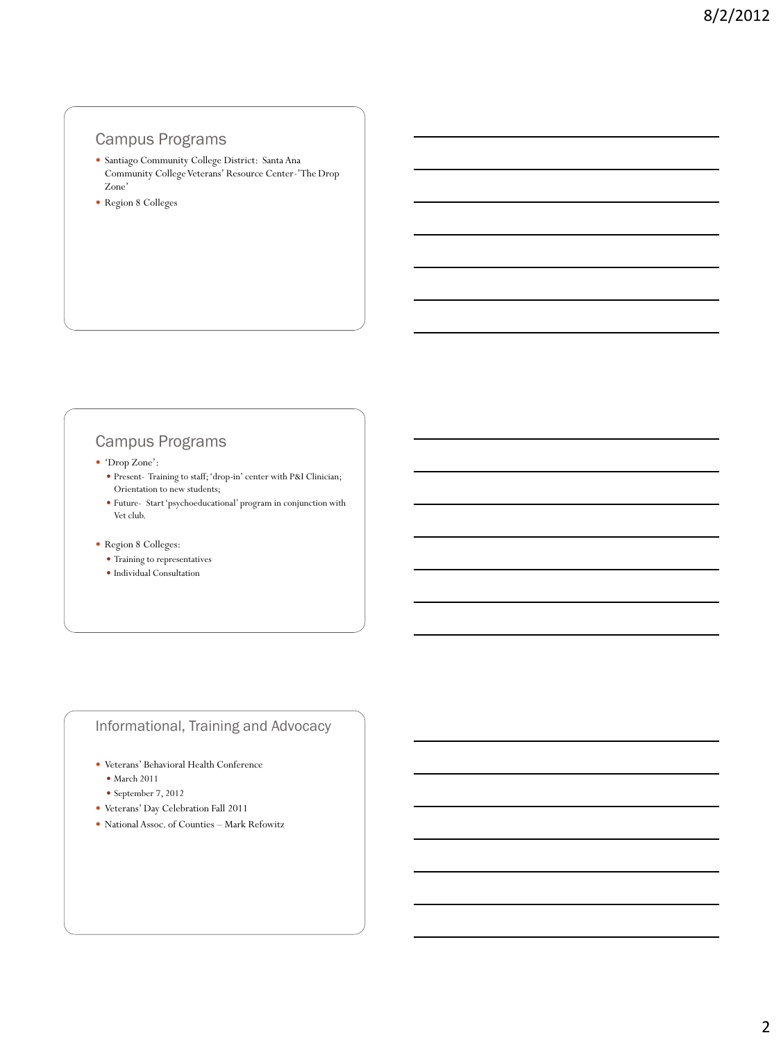#### Campus Programs

- Santiago Community College District: Santa Ana Community College Veterans' Resource Center-'The Drop Zone'
- Region 8 Colleges

## Campus Programs

'Drop Zone':

- Present- Training to staff; 'drop-in' center with P&I Clinician; Orientation to new students;
- Future- Start 'psychoeducational' program in conjunction with Vet club.

#### Region 8 Colleges:

- Training to representatives
- $\bullet$  Individual Consultation

### Informational, Training and Advocacy

- Veterans' Behavioral Health Conference
	- March 2011
	- $\bullet$  September 7, 2012
- Veterans' Day Celebration Fall 2011
- National Assoc. of Counties Mark Refowitz